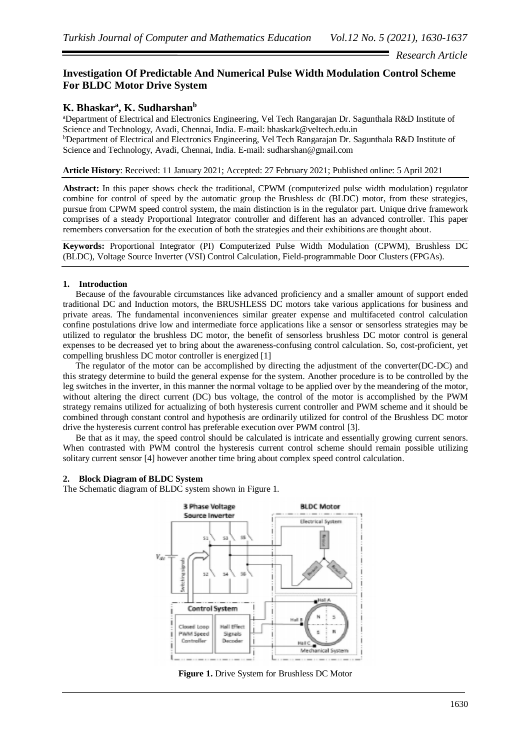## *Research Article*

# **Investigation Of Predictable And Numerical Pulse Width Modulation Control Scheme For BLDC Motor Drive System**

# **K. Bhaskar<sup>a</sup> , K. Sudharshan<sup>b</sup>**

<sup>a</sup>Department of Electrical and Electronics Engineering, Vel Tech Rangarajan Dr. Sagunthala R&D Institute of Science and Technology, Avadi, Chennai, India. E-mail: bhaskark@veltech.edu.in <sup>b</sup>Department of Electrical and Electronics Engineering, Vel Tech Rangarajan Dr. Sagunthala R&D Institute of Science and Technology, Avadi, Chennai, India. E-mail: sudharshan@gmail.com

**Article History**: Received: 11 January 2021; Accepted: 27 February 2021; Published online: 5 April 2021

**Abstract:** In this paper shows check the traditional, CPWM (computerized pulse width modulation) regulator combine for control of speed by the automatic group the Brushless dc (BLDC) motor, from these strategies, pursue from CPWM speed control system, the main distinction is in the regulator part. Unique drive framework comprises of a steady Proportional Integrator controller and different has an advanced controller. This paper remembers conversation for the execution of both the strategies and their exhibitions are thought about.

**Keywords:** Proportional Integrator (PI) **C**omputerized Pulse Width Modulation (CPWM), Brushless DC (BLDC), Voltage Source Inverter (VSI) Control Calculation, Field-programmable Door Clusters (FPGAs).

## **1. Introduction**

Because of the favourable circumstances like advanced proficiency and a smaller amount of support ended traditional DC and Induction motors, the BRUSHLESS DC motors take various applications for business and private areas. The fundamental inconveniences similar greater expense and multifaceted control calculation confine postulations drive low and intermediate force applications like a sensor or sensorless strategies may be utilized to regulator the brushless DC motor, the benefit of sensorless brushless DC motor control is general expenses to be decreased yet to bring about the awareness-confusing control calculation. So, cost-proficient, yet compelling brushless DC motor controller is energized [1]

The regulator of the motor can be accomplished by directing the adjustment of the converter(DC-DC) and this strategy determine to build the general expense for the system. Another procedure is to be controlled by the leg switches in the inverter, in this manner the normal voltage to be applied over by the meandering of the motor, without altering the direct current (DC) bus voltage, the control of the motor is accomplished by the PWM strategy remains utilized for actualizing of both hysteresis current controller and PWM scheme and it should be combined through constant control and hypothesis are ordinarily utilized for control of the Brushless DC motor drive the hysteresis current control has preferable execution over PWM control [3].

Be that as it may, the speed control should be calculated is intricate and essentially growing current senors. When contrasted with PWM control the hysteresis current control scheme should remain possible utilizing solitary current sensor [4] however another time bring about complex speed control calculation.

### **2. Block Diagram of BLDC System**

The Schematic diagram of BLDC system shown in Figure 1.



**Figure 1.** Drive System for Brushless DC Motor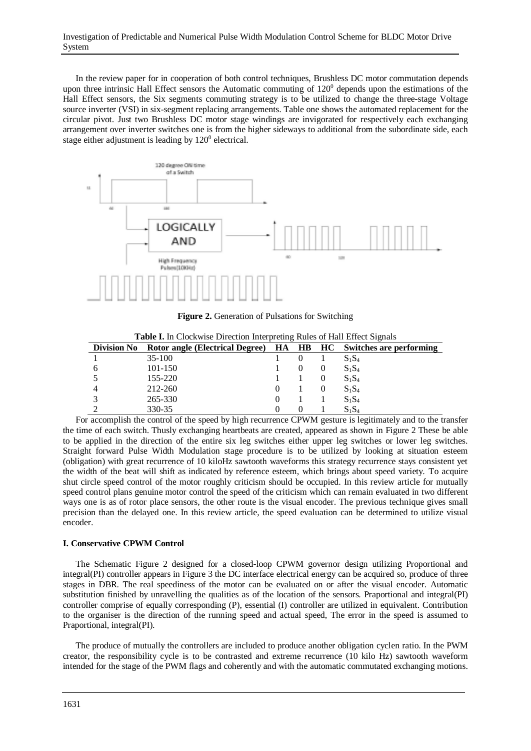In the review paper for in cooperation of both control techniques, Brushless DC motor commutation depends upon three intrinsic Hall Effect sensors the Automatic commuting of  $120<sup>0</sup>$  depends upon the estimations of the Hall Effect sensors, the Six segments commuting strategy is to be utilized to change the three-stage Voltage source inverter (VSI) in six-segment replacing arrangements. Table one shows the automated replacement for the circular pivot. Just two Brushless DC motor stage windings are invigorated for respectively each exchanging arrangement over inverter switches one is from the higher sideways to additional from the subordinate side, each stage either adjustment is leading by  $120^0$  electrical.



**Figure 2.** Generation of Pulsations for Switching

| <b>Division No</b> | Rotor angle (Electrical Degree) HA HB HC Switches are performing |  |          |
|--------------------|------------------------------------------------------------------|--|----------|
|                    | $35-100$                                                         |  | $S_1S_4$ |
| 6                  | $101 - 150$                                                      |  | $S_1S_4$ |
|                    | 155-220                                                          |  | $S_1S_4$ |
|                    | 212-260                                                          |  | $S_1S_4$ |
|                    | 265-330                                                          |  | $S_1S_4$ |
|                    | 330-35                                                           |  | $S_1S_4$ |

**Table I.** In Clockwise Direction Interpreting Rules of Hall Effect Signals

For accomplish the control of the speed by high recurrence CPWM gesture is legitimately and to the transfer the time of each switch. Thusly exchanging heartbeats are created, appeared as shown in Figure 2 These be able to be applied in the direction of the entire six leg switches either upper leg switches or lower leg switches. Straight forward Pulse Width Modulation stage procedure is to be utilized by looking at situation esteem (obligation) with great recurrence of 10 kiloHz sawtooth waveforms this strategy recurrence stays consistent yet the width of the beat will shift as indicated by reference esteem, which brings about speed variety. To acquire shut circle speed control of the motor roughly criticism should be occupied. In this review article for mutually speed control plans genuine motor control the speed of the criticism which can remain evaluated in two different ways one is as of rotor place sensors, the other route is the visual encoder. The previous technique gives small precision than the delayed one. In this review article, the speed evaluation can be determined to utilize visual encoder.

### **I. Conservative CPWM Control**

The Schematic Figure 2 designed for a closed-loop CPWM governor design utilizing Proportional and integral(PI) controller appears in Figure 3 the DC interface electrical energy can be acquired so, produce of three stages in DBR. The real speediness of the motor can be evaluated on or after the visual encoder. Automatic substitution finished by unravelling the qualities as of the location of the sensors. Praportional and integral(PI) controller comprise of equally corresponding (P), essential (I) controller are utilized in equivalent. Contribution to the organiser is the direction of the running speed and actual speed, The error in the speed is assumed to Praportional, integral(PI).

The produce of mutually the controllers are included to produce another obligation cyclen ratio. In the PWM creator, the responsibility cycle is to be contrasted and extreme recurrence (10 kilo Hz) sawtooth waveform intended for the stage of the PWM flags and coherently and with the automatic commutated exchanging motions.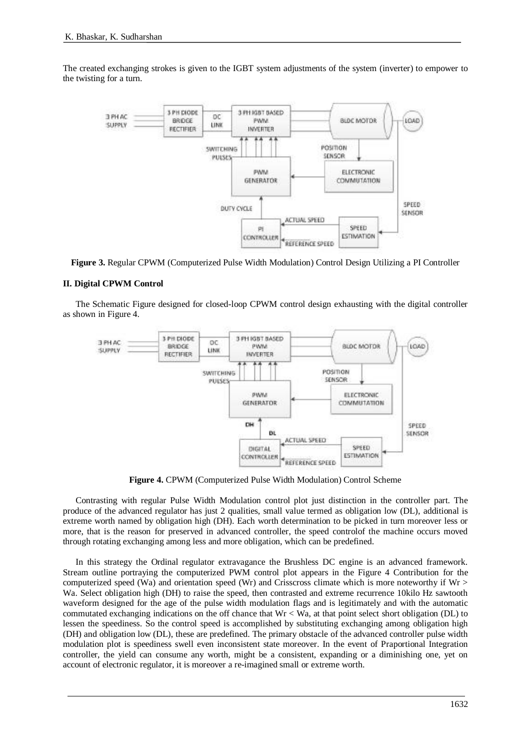The created exchanging strokes is given to the IGBT system adjustments of the system (inverter) to empower to the twisting for a turn.



**Figure 3.** Regular CPWM (Computerized Pulse Width Modulation) Control Design Utilizing a PI Controller

### **II. Digital CPWM Control**

The Schematic Figure designed for closed-loop CPWM control design exhausting with the digital controller as shown in Figure 4.



**Figure 4.** CPWM (Computerized Pulse Width Modulation) Control Scheme

Contrasting with regular Pulse Width Modulation control plot just distinction in the controller part. The produce of the advanced regulator has just 2 qualities, small value termed as obligation low (DL), additional is extreme worth named by obligation high (DH). Each worth determination to be picked in turn moreover less or more, that is the reason for preserved in advanced controller, the speed controlof the machine occurs moved through rotating exchanging among less and more obligation, which can be predefined.

In this strategy the Ordinal regulator extravagance the Brushless DC engine is an advanced framework. Stream outline portraying the computerized PWM control plot appears in the Figure 4 Contribution for the computerized speed (Wa) and orientation speed (Wr) and Crisscross climate which is more noteworthy if  $Wr$ Wa. Select obligation high (DH) to raise the speed, then contrasted and extreme recurrence 10kilo Hz sawtooth waveform designed for the age of the pulse width modulation flags and is legitimately and with the automatic commutated exchanging indications on the off chance that Wr < Wa, at that point select short obligation (DL) to lessen the speediness. So the control speed is accomplished by substituting exchanging among obligation high (DH) and obligation low (DL), these are predefined. The primary obstacle of the advanced controller pulse width modulation plot is speediness swell even inconsistent state moreover. In the event of Praportional Integration controller, the yield can consume any worth, might be a consistent, expanding or a diminishing one, yet on account of electronic regulator, it is moreover a re-imagined small or extreme worth.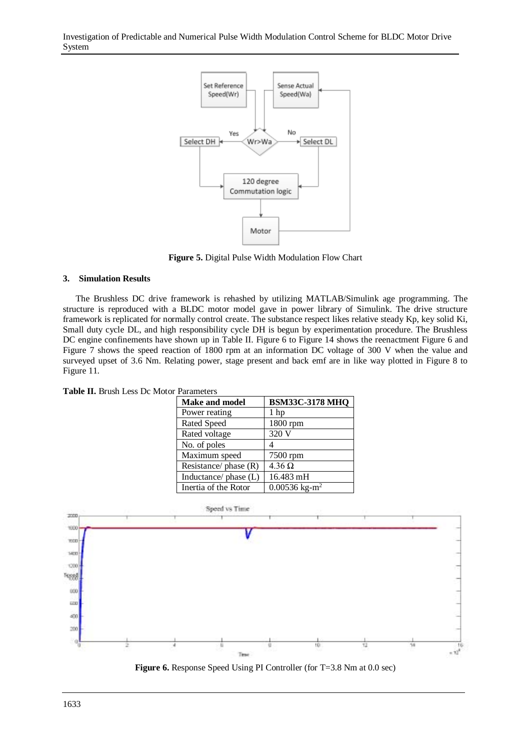Investigation of Predictable and Numerical Pulse Width Modulation Control Scheme for BLDC Motor Drive System



**Figure 5.** Digital Pulse Width Modulation Flow Chart

#### **3. Simulation Results**

The Brushless DC drive framework is rehashed by utilizing MATLAB/Simulink age programming. The structure is reproduced with a BLDC motor model gave in power library of Simulink. The drive structure framework is replicated for normally control create. The substance respect likes relative steady Kp, key solid Ki, Small duty cycle DL, and high responsibility cycle DH is begun by experimentation procedure. The Brushless DC engine confinements have shown up in Table II. Figure 6 to Figure 14 shows the reenactment Figure 6 and Figure 7 shows the speed reaction of 1800 rpm at an information DC voltage of 300 V when the value and surveyed upset of 3.6 Nm. Relating power, stage present and back emf are in like way plotted in Figure 8 to Figure 11.

| <b>Make and model</b>   | <b>BSM33C-3178 MHQ</b>      |  |  |  |  |  |
|-------------------------|-----------------------------|--|--|--|--|--|
| Power reating           | 1 hp                        |  |  |  |  |  |
| <b>Rated Speed</b>      | 1800 rpm                    |  |  |  |  |  |
| Rated voltage           | 320 V                       |  |  |  |  |  |
| No. of poles            | 4                           |  |  |  |  |  |
| Maximum speed           | 7500 rpm                    |  |  |  |  |  |
| Resistance/ phase $(R)$ | $4.36 \Omega$               |  |  |  |  |  |
| Inductance/ phase (L)   | 16.483 mH                   |  |  |  |  |  |
| Inertia of the Rotor    | $0.00536$ kg-m <sup>2</sup> |  |  |  |  |  |

**Table II.** Brush Less Dc Motor Parameters



**Figure 6.** Response Speed Using PI Controller (for T=3.8 Nm at 0.0 sec)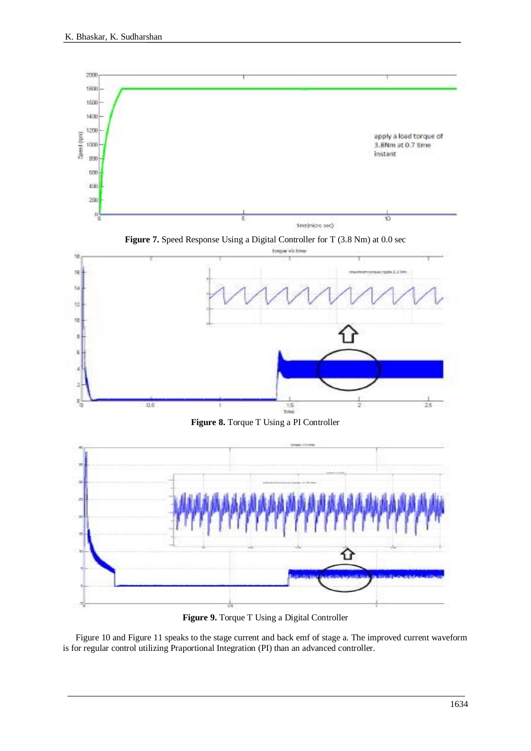

**Figure 9.** Torque T Using a Digital Controller

Figure 10 and Figure 11 speaks to the stage current and back emf of stage a. The improved current waveform is for regular control utilizing Praportional Integration (PI) than an advanced controller.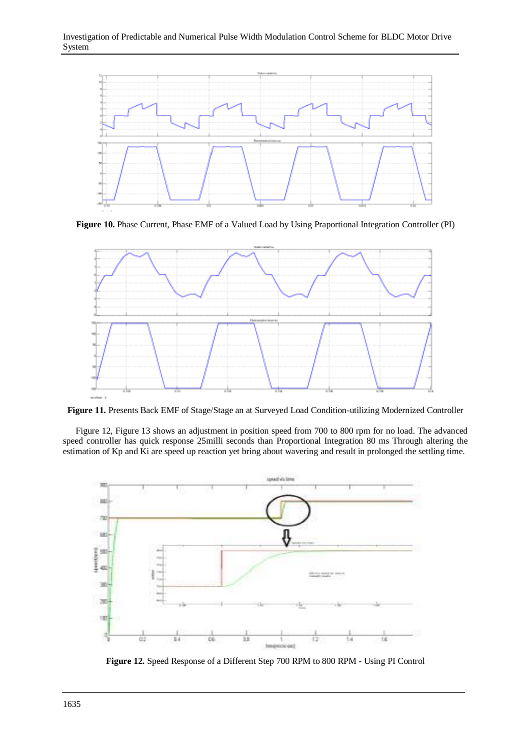

**Figure 10.** Phase Current, Phase EMF of a Valued Load by Using Praportional Integration Controller (PI)



**Figure 11.** Presents Back EMF of Stage/Stage an at Surveyed Load Condition-utilizing Modernized Controller

Figure 12, Figure 13 shows an adjustment in position speed from 700 to 800 rpm for no load. The advanced speed controller has quick response 25milli seconds than Proportional Integration 80 ms Through altering the estimation of Kp and Ki are speed up reaction yet bring about wavering and result in prolonged the settling time.



**Figure 12.** Speed Response of a Different Step 700 RPM to 800 RPM - Using PI Control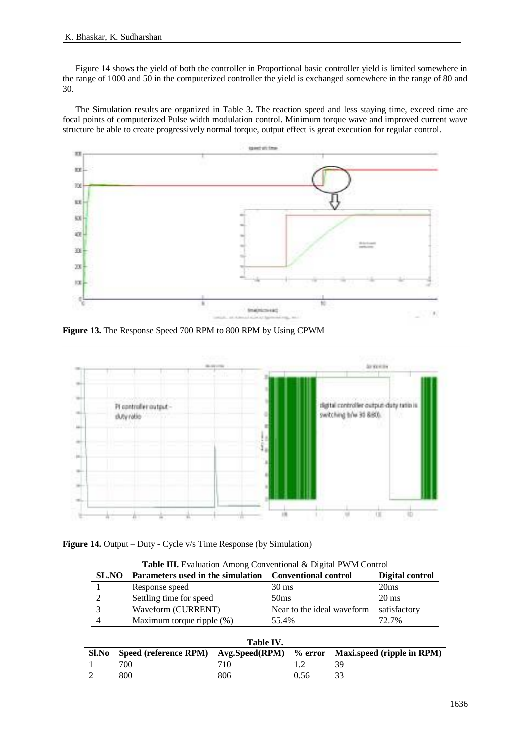Figure 14 shows the yield of both the controller in Proportional basic controller yield is limited somewhere in the range of 1000 and 50 in the computerized controller the yield is exchanged somewhere in the range of 80 and 30.

The Simulation results are organized in Table 3**.** The reaction speed and less staying time, exceed time are focal points of computerized Pulse width modulation control. Minimum torque wave and improved current wave structure be able to create progressively normal torque, output effect is great execution for regular control.



**Figure 13.** The Response Speed 700 RPM to 800 RPM by Using CPWM



**Figure 14.** Output – Duty - Cycle v/s Time Response (by Simulation)

| <b>Table III.</b> Evaluation Among Conventional & Digital PWM Control |                                                                  |                                    |  |                 |                            |  |  |  |
|-----------------------------------------------------------------------|------------------------------------------------------------------|------------------------------------|--|-----------------|----------------------------|--|--|--|
| <b>SL.NO</b>                                                          | <b>Conventional control</b><br>Parameters used in the simulation |                                    |  | Digital control |                            |  |  |  |
|                                                                       | Response speed                                                   |                                    |  | $30 \text{ ms}$ | 20ms                       |  |  |  |
| 2                                                                     | Settling time for speed                                          | 50 <sub>ms</sub>                   |  |                 | $20 \text{ ms}$            |  |  |  |
| 3                                                                     | Waveform (CURRENT)                                               | Near to the ideal waveform         |  |                 | satisfactory               |  |  |  |
| 4                                                                     |                                                                  | Maximum torque ripple (%)<br>55.4% |  |                 | 72.7%                      |  |  |  |
|                                                                       |                                                                  |                                    |  |                 |                            |  |  |  |
| Table IV.                                                             |                                                                  |                                    |  |                 |                            |  |  |  |
| Sl.No                                                                 | Speed (reference RPM)                                            | Avg.Speed(RPM)                     |  | $%$ error       | Maxi.speed (ripple in RPM) |  |  |  |
|                                                                       | 700                                                              | 710                                |  | 1.2             | 39                         |  |  |  |
|                                                                       | 800                                                              | 806                                |  | 0.56            | 33                         |  |  |  |
|                                                                       |                                                                  |                                    |  |                 |                            |  |  |  |